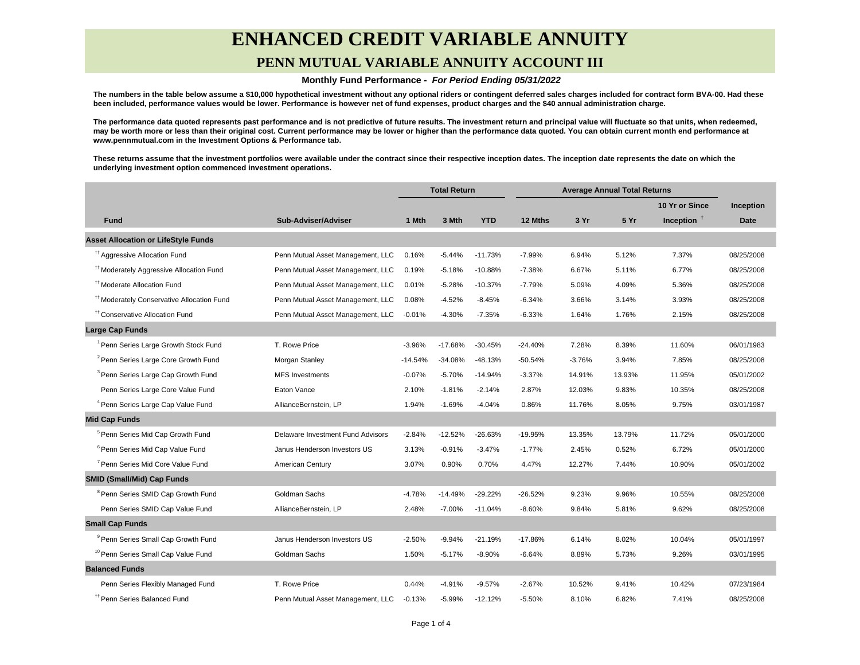## **ENHANCED CREDIT VARIABLE ANNUITY PENN MUTUAL VARIABLE ANNUITY ACCOUNT III**

#### **Monthly Fund Performance - For Period Ending 05/31/2022**

**The numbers in the table below assume a \$10,000 hypothetical investment without any optional riders or contingent deferred sales charges included for contract form BVA-00. Had these been included, performance values would be lower. Performance is however net of fund expenses, product charges and the \$40 annual administration charge.**

**The performance data quoted represents past performance and is not predictive of future results. The investment return and principal value will fluctuate so that units, when redeemed, may be worth more or less than their original cost. Current performance may be lower or higher than the performance data quoted. You can obtain current month end performance at www.pennmutual.com in the Investment Options & Performance tab.**

**These returns assume that the investment portfolios were available under the contract since their respective inception dates. The inception date represents the date on which the underlying investment option commenced investment operations.**

|                                                       |                                   | <b>Total Return</b> |           | <b>Average Annual Total Returns</b> |           |          |        |                |             |
|-------------------------------------------------------|-----------------------------------|---------------------|-----------|-------------------------------------|-----------|----------|--------|----------------|-------------|
|                                                       |                                   |                     |           |                                     |           |          |        | 10 Yr or Since | Inception   |
| <b>Fund</b>                                           | Sub-Adviser/Adviser               | 1 Mth               | 3 Mth     | <b>YTD</b>                          | 12 Mths   | 3 Yr     | 5 Yr   | Inception $†$  | <b>Date</b> |
| <b>Asset Allocation or LifeStyle Funds</b>            |                                   |                     |           |                                     |           |          |        |                |             |
| <sup>tt</sup> Aggressive Allocation Fund              | Penn Mutual Asset Management, LLC | 0.16%               | $-5.44%$  | $-11.73%$                           | $-7.99%$  | 6.94%    | 5.12%  | 7.37%          | 08/25/2008  |
| <sup>#†</sup> Moderately Aggressive Allocation Fund   | Penn Mutual Asset Management, LLC | 0.19%               | $-5.18%$  | $-10.88%$                           | $-7.38%$  | 6.67%    | 5.11%  | 6.77%          | 08/25/2008  |
| <sup>#</sup> Moderate Allocation Fund                 | Penn Mutual Asset Management, LLC | 0.01%               | $-5.28%$  | $-10.37%$                           | $-7.79%$  | 5.09%    | 4.09%  | 5.36%          | 08/25/2008  |
| <sup>11</sup> Moderately Conservative Allocation Fund | Penn Mutual Asset Management, LLC | 0.08%               | $-4.52%$  | $-8.45%$                            | $-6.34%$  | 3.66%    | 3.14%  | 3.93%          | 08/25/2008  |
| <sup>††</sup> Conservative Allocation Fund            | Penn Mutual Asset Management, LLC | $-0.01%$            | $-4.30%$  | $-7.35%$                            | $-6.33%$  | 1.64%    | 1.76%  | 2.15%          | 08/25/2008  |
| <b>Large Cap Funds</b>                                |                                   |                     |           |                                     |           |          |        |                |             |
| <sup>1</sup> Penn Series Large Growth Stock Fund      | T. Rowe Price                     | $-3.96%$            | $-17.68%$ | $-30.45%$                           | $-24.40%$ | 7.28%    | 8.39%  | 11.60%         | 06/01/1983  |
| <sup>2</sup> Penn Series Large Core Growth Fund       | Morgan Stanley                    | $-14.54%$           | $-34.08%$ | $-48.13%$                           | $-50.54%$ | $-3.76%$ | 3.94%  | 7.85%          | 08/25/2008  |
| <sup>3</sup> Penn Series Large Cap Growth Fund        | <b>MFS Investments</b>            | $-0.07%$            | $-5.70%$  | $-14.94%$                           | $-3.37%$  | 14.91%   | 13.93% | 11.95%         | 05/01/2002  |
| Penn Series Large Core Value Fund                     | Eaton Vance                       | 2.10%               | $-1.81%$  | $-2.14%$                            | 2.87%     | 12.03%   | 9.83%  | 10.35%         | 08/25/2008  |
| <sup>4</sup> Penn Series Large Cap Value Fund         | AllianceBernstein, LP             | 1.94%               | $-1.69%$  | $-4.04%$                            | 0.86%     | 11.76%   | 8.05%  | 9.75%          | 03/01/1987  |
| <b>Mid Cap Funds</b>                                  |                                   |                     |           |                                     |           |          |        |                |             |
| <sup>5</sup> Penn Series Mid Cap Growth Fund          | Delaware Investment Fund Advisors | $-2.84%$            | $-12.52%$ | $-26.63%$                           | -19.95%   | 13.35%   | 13.79% | 11.72%         | 05/01/2000  |
| <sup>6</sup> Penn Series Mid Cap Value Fund           | Janus Henderson Investors US      | 3.13%               | $-0.91%$  | $-3.47%$                            | $-1.77%$  | 2.45%    | 0.52%  | 6.72%          | 05/01/2000  |
| <sup>7</sup> Penn Series Mid Core Value Fund          | American Century                  | 3.07%               | 0.90%     | 0.70%                               | 4.47%     | 12.27%   | 7.44%  | 10.90%         | 05/01/2002  |
| <b>SMID (Small/Mid) Cap Funds</b>                     |                                   |                     |           |                                     |           |          |        |                |             |
| <sup>8</sup> Penn Series SMID Cap Growth Fund         | Goldman Sachs                     | $-4.78%$            | $-14.49%$ | $-29.22%$                           | $-26.52%$ | 9.23%    | 9.96%  | 10.55%         | 08/25/2008  |
| Penn Series SMID Cap Value Fund                       | AllianceBernstein, LP             | 2.48%               | $-7.00%$  | $-11.04%$                           | $-8.60%$  | 9.84%    | 5.81%  | 9.62%          | 08/25/2008  |
| <b>Small Cap Funds</b>                                |                                   |                     |           |                                     |           |          |        |                |             |
| <sup>9</sup> Penn Series Small Cap Growth Fund        | Janus Henderson Investors US      | $-2.50%$            | $-9.94%$  | $-21.19%$                           | -17.86%   | 6.14%    | 8.02%  | 10.04%         | 05/01/1997  |
| <sup>10</sup> Penn Series Small Cap Value Fund        | Goldman Sachs                     | 1.50%               | $-5.17%$  | $-8.90%$                            | $-6.64%$  | 8.89%    | 5.73%  | 9.26%          | 03/01/1995  |
| <b>Balanced Funds</b>                                 |                                   |                     |           |                                     |           |          |        |                |             |
| Penn Series Flexibly Managed Fund                     | T. Rowe Price                     | 0.44%               | $-4.91%$  | $-9.57%$                            | $-2.67%$  | 10.52%   | 9.41%  | 10.42%         | 07/23/1984  |
| <sup>TT</sup> Penn Series Balanced Fund               | Penn Mutual Asset Management, LLC | $-0.13%$            | $-5.99%$  | $-12.12%$                           | $-5.50%$  | 8.10%    | 6.82%  | 7.41%          | 08/25/2008  |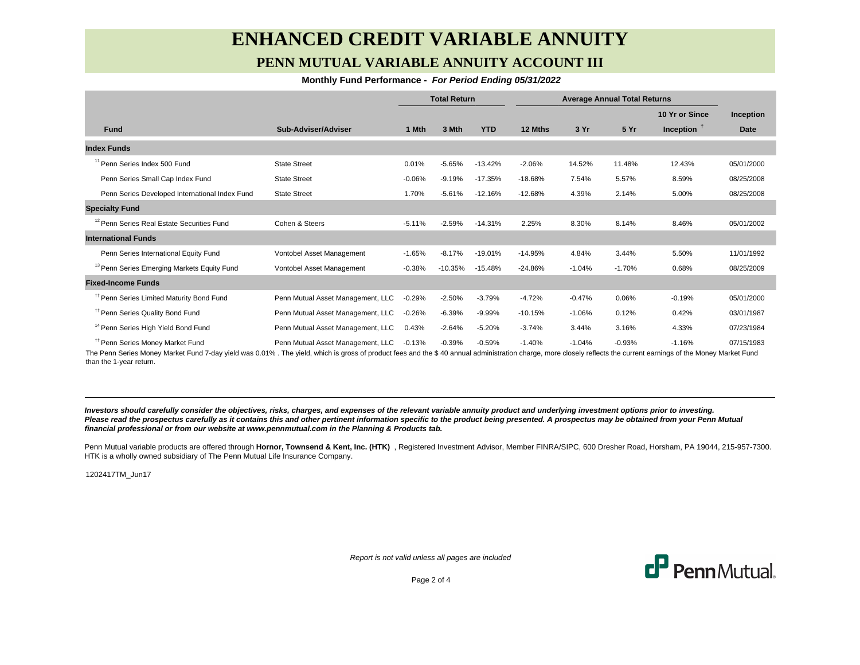## **ENHANCED CREDIT VARIABLE ANNUITY PENN MUTUAL VARIABLE ANNUITY ACCOUNT III**

#### **Monthly Fund Performance - For Period Ending 05/31/2022**

|                                                        |                                   | <b>Total Return</b> |           | <b>Average Annual Total Returns</b> |           |          |          |                |            |
|--------------------------------------------------------|-----------------------------------|---------------------|-----------|-------------------------------------|-----------|----------|----------|----------------|------------|
|                                                        |                                   |                     |           |                                     |           |          |          | 10 Yr or Since | Inception  |
| <b>Fund</b>                                            | Sub-Adviser/Adviser               | 1 Mth               | 3 Mth     | <b>YTD</b>                          | 12 Mths   | 3 Yr     | 5 Yr     | Inception $T$  | Date       |
| <b>Index Funds</b>                                     |                                   |                     |           |                                     |           |          |          |                |            |
| <sup>11</sup> Penn Series Index 500 Fund               | <b>State Street</b>               | 0.01%               | $-5.65%$  | $-13.42%$                           | $-2.06%$  | 14.52%   | 11.48%   | 12.43%         | 05/01/2000 |
| Penn Series Small Cap Index Fund                       | <b>State Street</b>               | $-0.06%$            | $-9.19%$  | $-17.35%$                           | $-18.68%$ | 7.54%    | 5.57%    | 8.59%          | 08/25/2008 |
| Penn Series Developed International Index Fund         | <b>State Street</b>               | 1.70%               | $-5.61%$  | $-12.16%$                           | $-12.68%$ | 4.39%    | 2.14%    | 5.00%          | 08/25/2008 |
| <b>Specialty Fund</b>                                  |                                   |                     |           |                                     |           |          |          |                |            |
| <sup>12</sup> Penn Series Real Estate Securities Fund  | Cohen & Steers                    | $-5.11%$            | $-2.59%$  | $-14.31%$                           | 2.25%     | 8.30%    | 8.14%    | 8.46%          | 05/01/2002 |
| <b>International Funds</b>                             |                                   |                     |           |                                     |           |          |          |                |            |
| Penn Series International Equity Fund                  | Vontobel Asset Management         | $-1.65%$            | $-8.17%$  | $-19.01%$                           | $-14.95%$ | 4.84%    | 3.44%    | 5.50%          | 11/01/1992 |
| <sup>13</sup> Penn Series Emerging Markets Equity Fund | Vontobel Asset Management         | $-0.38%$            | $-10.35%$ | $-15.48%$                           | $-24.86%$ | $-1.04%$ | $-1.70%$ | 0.68%          | 08/25/2009 |
| <b>Fixed-Income Funds</b>                              |                                   |                     |           |                                     |           |          |          |                |            |
| <sup>11</sup> Penn Series Limited Maturity Bond Fund   | Penn Mutual Asset Management, LLC | $-0.29%$            | $-2.50%$  | $-3.79%$                            | $-4.72%$  | $-0.47%$ | 0.06%    | $-0.19%$       | 05/01/2000 |
| <sup>11</sup> Penn Series Quality Bond Fund            | Penn Mutual Asset Management, LLC | $-0.26%$            | $-6.39%$  | $-9.99%$                            | $-10.15%$ | $-1.06%$ | 0.12%    | 0.42%          | 03/01/1987 |
| <sup>14</sup> Penn Series High Yield Bond Fund         | Penn Mutual Asset Management, LLC | 0.43%               | $-2.64%$  | $-5.20%$                            | $-3.74%$  | 3.44%    | 3.16%    | 4.33%          | 07/23/1984 |
| <sup>11</sup> Penn Series Money Market Fund            | Penn Mutual Asset Management, LLC | $-0.13%$            | $-0.39%$  | $-0.59%$                            | $-1.40%$  | $-1.04%$ | $-0.93%$ | $-1.16%$       | 07/15/1983 |

The Penn Series Money Market Fund 7-day yield was 0.01% . The yield, which is gross of product fees and the \$ 40 annual administration charge, more closely reflects the current earnings of the Money Market Fund than the 1-year return.

**Investors should carefully consider the objectives, risks, charges, and expenses of the relevant variable annuity product and underlying investment options prior to investing.** Please read the prospectus carefully as it contains this and other pertinent information specific to the product being presented. A prospectus may be obtained from your Penn Mutual **financial professional or from our website at www.pennmutual.com in the Planning & Products tab.**

Penn Mutual variable products are offered through Hornor, Townsend & Kent, Inc. (HTK), Registered Investment Advisor, Member FINRA/SIPC, 600 Dresher Road, Horsham, PA 19044, 215-957-7300. HTK is a wholly owned subsidiary of The Penn Mutual Life Insurance Company.

1202417TM\_Jun17

Report is not valid unless all pages are included



Page 2 of 4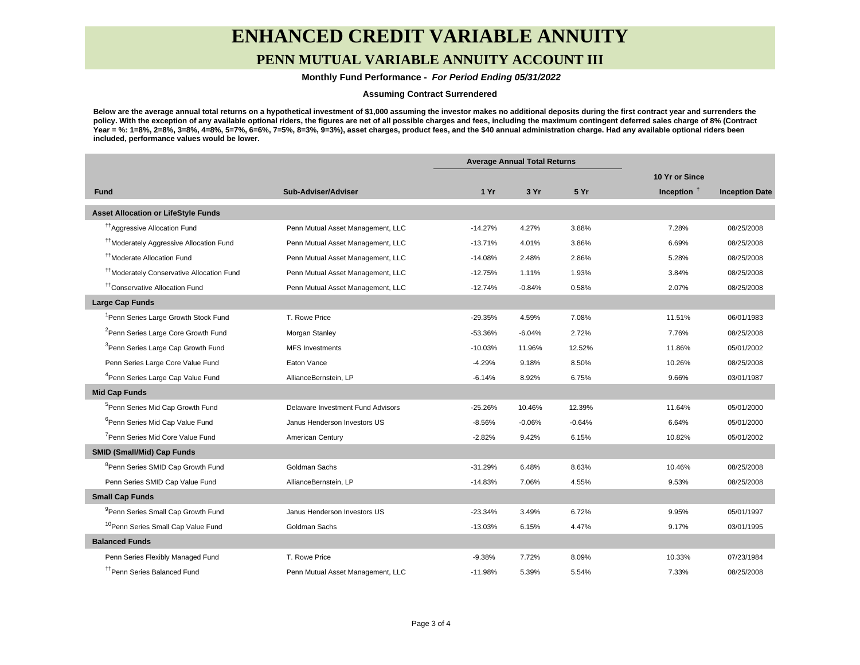# **ENHANCED CREDIT VARIABLE ANNUITY**

### **PENN MUTUAL VARIABLE ANNUITY ACCOUNT III**

 **Monthly Fund Performance - For Period Ending 05/31/2022**

#### **Assuming Contract Surrendered**

**Below are the average annual total returns on a hypothetical investment of \$1,000 assuming the investor makes no additional deposits during the first contract year and surrenders the policy. With the exception of any available optional riders, the figures are net of all possible charges and fees, including the maximum contingent deferred sales charge of 8% (Contract Year = %: 1=8%, 2=8%, 3=8%, 4=8%, 5=7%, 6=6%, 7=5%, 8=3%, 9=3%), asset charges, product fees, and the \$40 annual administration charge. Had any available optional riders been included, performance values would be lower.**

|                                                       |                                   | <b>Average Annual Total Returns</b> |          |          |                |                       |
|-------------------------------------------------------|-----------------------------------|-------------------------------------|----------|----------|----------------|-----------------------|
|                                                       |                                   |                                     |          |          | 10 Yr or Since |                       |
| <b>Fund</b>                                           | Sub-Adviser/Adviser               | 1 Yr                                | 3 Yr     | 5 Yr     | Inception $†$  | <b>Inception Date</b> |
| <b>Asset Allocation or LifeStyle Funds</b>            |                                   |                                     |          |          |                |                       |
| <sup>17</sup> Aggressive Allocation Fund              | Penn Mutual Asset Management, LLC | $-14.27%$                           | 4.27%    | 3.88%    | 7.28%          | 08/25/2008            |
| <sup>11</sup> Moderately Aggressive Allocation Fund   | Penn Mutual Asset Management, LLC | $-13.71%$                           | 4.01%    | 3.86%    | 6.69%          | 08/25/2008            |
| <sup>11</sup> Moderate Allocation Fund                | Penn Mutual Asset Management, LLC | $-14.08%$                           | 2.48%    | 2.86%    | 5.28%          | 08/25/2008            |
| <sup>††</sup> Moderately Conservative Allocation Fund | Penn Mutual Asset Management, LLC | $-12.75%$                           | 1.11%    | 1.93%    | 3.84%          | 08/25/2008            |
| <sup>††</sup> Conservative Allocation Fund            | Penn Mutual Asset Management, LLC | $-12.74%$                           | $-0.84%$ | 0.58%    | 2.07%          | 08/25/2008            |
| <b>Large Cap Funds</b>                                |                                   |                                     |          |          |                |                       |
| <sup>1</sup> Penn Series Large Growth Stock Fund      | T. Rowe Price                     | $-29.35%$                           | 4.59%    | 7.08%    | 11.51%         | 06/01/1983            |
| <sup>2</sup> Penn Series Large Core Growth Fund       | Morgan Stanley                    | $-53.36%$                           | $-6.04%$ | 2.72%    | 7.76%          | 08/25/2008            |
| <sup>3</sup> Penn Series Large Cap Growth Fund        | <b>MFS Investments</b>            | $-10.03%$                           | 11.96%   | 12.52%   | 11.86%         | 05/01/2002            |
| Penn Series Large Core Value Fund                     | Eaton Vance                       | $-4.29%$                            | 9.18%    | 8.50%    | 10.26%         | 08/25/2008            |
| <sup>4</sup> Penn Series Large Cap Value Fund         | AllianceBernstein, LP             | $-6.14%$                            | 8.92%    | 6.75%    | 9.66%          | 03/01/1987            |
| <b>Mid Cap Funds</b>                                  |                                   |                                     |          |          |                |                       |
| <sup>5</sup> Penn Series Mid Cap Growth Fund          | Delaware Investment Fund Advisors | $-25.26%$                           | 10.46%   | 12.39%   | 11.64%         | 05/01/2000            |
| <sup>6</sup> Penn Series Mid Cap Value Fund           | Janus Henderson Investors US      | $-8.56%$                            | $-0.06%$ | $-0.64%$ | 6.64%          | 05/01/2000            |
| <sup>7</sup> Penn Series Mid Core Value Fund          | American Century                  | $-2.82%$                            | 9.42%    | 6.15%    | 10.82%         | 05/01/2002            |
| <b>SMID (Small/Mid) Cap Funds</b>                     |                                   |                                     |          |          |                |                       |
| <sup>8</sup> Penn Series SMID Cap Growth Fund         | Goldman Sachs                     | $-31.29%$                           | 6.48%    | 8.63%    | 10.46%         | 08/25/2008            |
| Penn Series SMID Cap Value Fund                       | AllianceBernstein, LP             | $-14.83%$                           | 7.06%    | 4.55%    | 9.53%          | 08/25/2008            |
| <b>Small Cap Funds</b>                                |                                   |                                     |          |          |                |                       |
| <sup>9</sup> Penn Series Small Cap Growth Fund        | Janus Henderson Investors US      | $-23.34%$                           | 3.49%    | 6.72%    | 9.95%          | 05/01/1997            |
| <sup>10</sup> Penn Series Small Cap Value Fund        | Goldman Sachs                     | $-13.03%$                           | 6.15%    | 4.47%    | 9.17%          | 03/01/1995            |
| <b>Balanced Funds</b>                                 |                                   |                                     |          |          |                |                       |
| Penn Series Flexibly Managed Fund                     | T. Rowe Price                     | $-9.38%$                            | 7.72%    | 8.09%    | 10.33%         | 07/23/1984            |
| <sup>11</sup> Penn Series Balanced Fund               | Penn Mutual Asset Management, LLC | $-11.98%$                           | 5.39%    | 5.54%    | 7.33%          | 08/25/2008            |